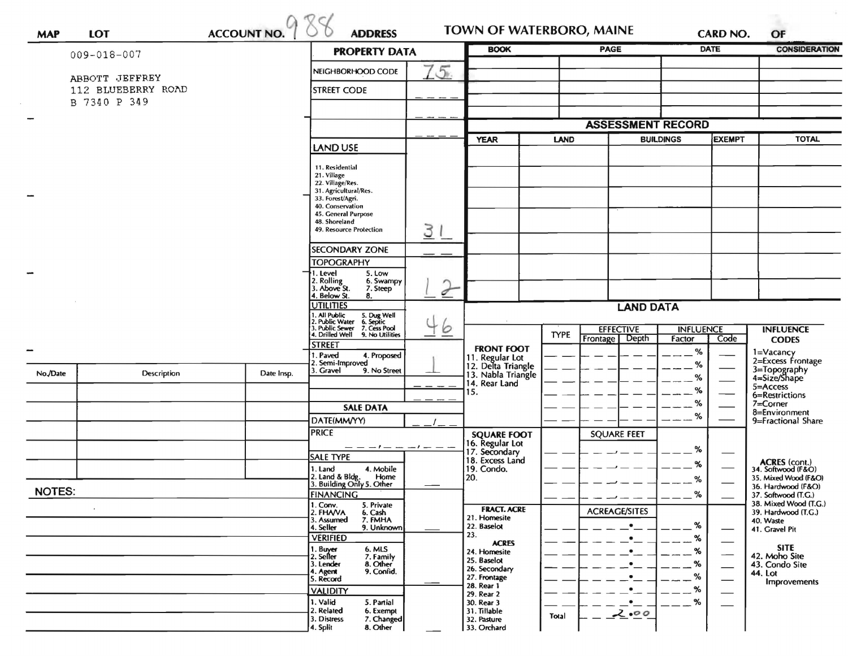|               |                    |            | <b>ADDRESS</b><br><b>PROPERTY DATA</b>                         |     | <b>BOOK</b>                              |                          | PAGE                                     |                  | <b>DATE</b>              | OF<br><b>CONSIDERATION</b>                   |
|---------------|--------------------|------------|----------------------------------------------------------------|-----|------------------------------------------|--------------------------|------------------------------------------|------------------|--------------------------|----------------------------------------------|
|               | 009-018-007        |            |                                                                |     |                                          |                          |                                          |                  |                          |                                              |
|               | ABBOTT JEFFREY     |            | NEIGHBORHOOD CODE                                              | 15. |                                          |                          |                                          |                  |                          |                                              |
|               | 112 BLUEBERRY ROAD |            | <b>STREET CODE</b>                                             |     |                                          |                          |                                          |                  |                          |                                              |
|               | B 7340 P 349       |            |                                                                |     |                                          |                          |                                          |                  |                          |                                              |
|               |                    |            |                                                                |     |                                          | <b>ASSESSMENT RECORD</b> |                                          |                  |                          |                                              |
|               |                    |            |                                                                |     | <b>YEAR</b><br><b>LAND</b>               |                          | <b>BUILDINGS</b>                         |                  | <b>EXEMPT</b>            | <b>TOTAL</b>                                 |
|               |                    |            | LAND USE                                                       |     |                                          |                          |                                          |                  |                          |                                              |
|               |                    |            | 11. Residential<br>21. Village                                 |     |                                          |                          |                                          |                  |                          |                                              |
|               |                    |            | 22. Village/Res.<br>31. Agricultural/Res.                      |     |                                          |                          |                                          |                  |                          |                                              |
|               |                    |            | 33. Forest/Agri.                                               |     |                                          |                          |                                          |                  |                          |                                              |
|               |                    |            | 40. Conservation<br>45. General Purpose                        |     |                                          |                          |                                          |                  |                          |                                              |
|               |                    |            | 48. Shoreland<br>49. Resource Protection                       | 3   |                                          |                          |                                          |                  |                          |                                              |
|               |                    |            | <b>SECONDARY ZONE</b>                                          |     |                                          |                          |                                          |                  |                          |                                              |
|               |                    |            | <b>TOPOGRAPHY</b>                                              |     |                                          |                          |                                          |                  |                          |                                              |
|               |                    |            | 1. Level<br>5. Low                                             |     |                                          |                          |                                          |                  |                          |                                              |
|               |                    |            | 2. Rolling<br>3. Above St.<br>6. Swampy<br>7. Steep            | ♂   |                                          |                          |                                          |                  |                          |                                              |
|               |                    |            | 4. Below St.<br>8.<br><b>UTILITIES</b>                         |     |                                          |                          |                                          | <b>LAND DATA</b> |                          |                                              |
|               |                    |            | I. All Public<br>!. Public Water<br>5. Dug Well<br>6. Septic   |     |                                          |                          |                                          |                  |                          |                                              |
|               |                    |            | . Public Sewer 7. Cess Pool<br>4. Drilled Well 9. No Utilities | 6   |                                          | <b>TYPE</b>              | <b>EFFECTIVE</b>                         | <b>INFLUENCE</b> |                          | <b>INFLUENCE</b>                             |
|               |                    |            | <b>STREET</b>                                                  |     | <b>FRONT FOOT</b>                        |                          | Depth<br>Frontage                        | Factor<br>%      | Code                     | <b>CODES</b>                                 |
|               |                    |            | . Paved<br>4. Proposed<br>2. Semi-Improved                     |     | 11. Regular Lot                          |                          |                                          | %                |                          | 1=Vacancy<br>2=Excess Frontage               |
| No./Date      | Description        | Date Insp. | 3. Gravel<br>9. No Street                                      |     | 12. Delta Triangle<br>13. Nabla Triangle |                          |                                          | %                |                          | 3=Topography<br>4=Size/Shape                 |
|               |                    |            |                                                                |     | 14. Rear Land<br>15.                     |                          |                                          | %                |                          | 5=Access<br>6=Restrictions                   |
|               |                    |            | <b>SALE DATA</b>                                               |     |                                          |                          |                                          | %                |                          | 7=Corner                                     |
|               |                    |            | DATE(MM/YY)                                                    |     |                                          |                          |                                          | %                |                          | 8=Environment<br>9=Fractional Share          |
|               |                    |            | <b>PRICE</b>                                                   |     | <b>SQUARE FOOT</b>                       |                          | <b>SQUARE FEET</b>                       |                  |                          |                                              |
|               |                    |            | $-- -1- -1- -1- -1$                                            |     | 16. Regular Lot<br>17. Secondary         |                          |                                          | %                |                          |                                              |
|               |                    |            | <b>SALE TYPE</b><br>4. Mobile<br>1. Land                       |     | 18. Excess Land<br>19. Condo.            |                          |                                          | %                |                          | ACRES (cont.)<br>34. Softwood (F&O)          |
|               |                    |            | 2. Land & Bldg. Home<br>3. Building Only 5. Other<br>Home      |     | 20.                                      |                          |                                          | %                |                          | 35. Mixed Wood (F&O)                         |
| <b>NOTES:</b> |                    |            | <b>FINANCING</b>                                               |     |                                          |                          |                                          | $-$ %            |                          | 36. Hardwood (F&O)<br>37. Softwood (T.G.)    |
| $\cdot$       |                    |            | 1. Conv.<br>5. Private<br>2. FHAVA<br>6. Cash                  |     | <b>FRACT. ACRE</b>                       |                          | <b>ACREAGE/SITES</b>                     |                  |                          | 38. Mixed Wood (T.G.)<br>39. Hardwood (T.G.) |
|               |                    |            | 7. FMHA<br>3. Assumed<br>9. Unknown<br>4. Seller               |     | 21. Homesite<br>22. Baselot              |                          | $\bullet$                                | %                |                          | 40. Waste<br>41. Gravel Pit                  |
|               |                    |            | <b>VERIFIED</b>                                                |     | 23.<br><b>ACRES</b>                      |                          | $\bullet$                                | %                |                          |                                              |
|               |                    |            | 6. MLS<br>1. Buyer<br>2. Seller                                |     | 24. Homesite                             |                          | $\bullet$                                | %                | $\overline{\phantom{a}}$ | <b>SITE</b><br>42. Moho Site                 |
|               |                    |            | 7. Family<br>8. Other<br>3. Lender<br>9. Confid.<br>4. Agent   |     | 25. Baselot<br>26. Secondary             |                          | $\bullet$                                | $\%$             | $\overline{\phantom{0}}$ | 43. Condo Site                               |
|               |                    |            | 5. Record                                                      |     | 27. Frontage<br>28. Rear 1               |                          |                                          | %                |                          | 44. Lot<br><b>Improvements</b>               |
|               |                    |            | <b>VALIDITY</b><br>1. Valid<br>5. Partial                      |     | 29. Rear 2                               |                          | $\bullet$                                | %<br>%           |                          |                                              |
|               |                    |            | 2. Related<br>6. Exempt                                        |     | 30. Rear 3<br>31. Tillable               | Total                    | $\cdot$ $\overline{\phantom{a}}$<br>2.00 |                  |                          |                                              |
|               |                    |            | 3. Distress<br>7. Changed<br>8. Other                          |     | 32. Pasture                              |                          |                                          |                  |                          |                                              |